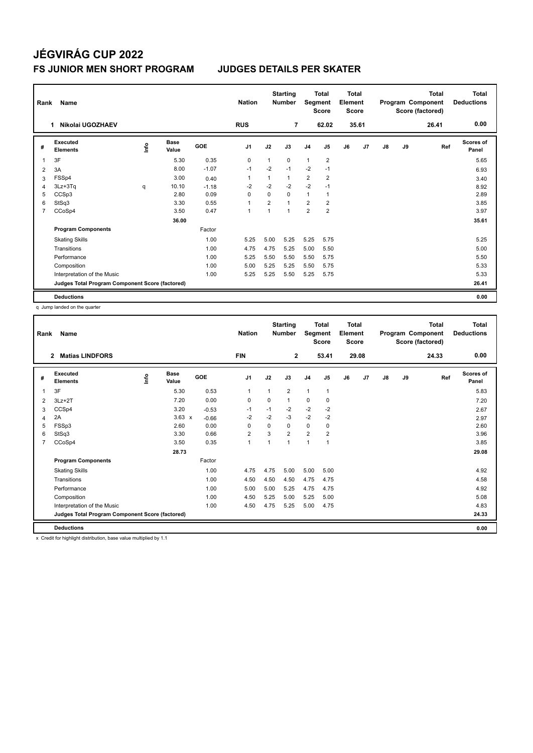# **JÉGVIRÁG CUP 2022 FS JUNIOR MEN SHORT PROGRAM JUDGES DETAILS PER SKATER**

| Rank           | Name                                            |      |                      |         | <b>Nation</b>  |                | <b>Starting</b><br><b>Number</b> | Segment        | <b>Total</b><br><b>Score</b> | <b>Total</b><br>Element<br><b>Score</b> |       |               |    | <b>Total</b><br>Program Component<br>Score (factored) | Total<br><b>Deductions</b> |
|----------------|-------------------------------------------------|------|----------------------|---------|----------------|----------------|----------------------------------|----------------|------------------------------|-----------------------------------------|-------|---------------|----|-------------------------------------------------------|----------------------------|
|                | Nikolai UGOZHAEV<br>1                           |      |                      |         | <b>RUS</b>     |                | $\overline{7}$                   |                | 62.02                        |                                         | 35.61 |               |    | 26.41                                                 | 0.00                       |
| #              | Executed<br><b>Elements</b>                     | ١nf٥ | <b>Base</b><br>Value | GOE     | J <sub>1</sub> | J2             | J3                               | J <sub>4</sub> | J5                           | J6                                      | J7    | $\mathsf{J}8$ | J9 | Ref                                                   | Scores of<br>Panel         |
| 1              | 3F                                              |      | 5.30                 | 0.35    | 0              | 1              | 0                                | $\mathbf{1}$   | $\overline{2}$               |                                         |       |               |    |                                                       | 5.65                       |
| 2              | 3A                                              |      | 8.00                 | $-1.07$ | $-1$           | $-2$           | $-1$                             | $-2$           | $-1$                         |                                         |       |               |    |                                                       | 6.93                       |
| 3              | FSSp4                                           |      | 3.00                 | 0.40    | 1              |                | $\mathbf{1}$                     | $\overline{2}$ | $\overline{2}$               |                                         |       |               |    |                                                       | 3.40                       |
| 4              | 3Lz+3Tq                                         | q    | 10.10                | $-1.18$ | $-2$           | $-2$           | $-2$                             | $-2$           | $-1$                         |                                         |       |               |    |                                                       | 8.92                       |
| 5              | CCSp3                                           |      | 2.80                 | 0.09    | 0              | $\Omega$       | $\Omega$                         | $\mathbf{1}$   | 1                            |                                         |       |               |    |                                                       | 2.89                       |
| 6              | StSq3                                           |      | 3.30                 | 0.55    | $\overline{1}$ | $\overline{2}$ | $\mathbf{1}$                     | $\overline{2}$ | $\overline{2}$               |                                         |       |               |    |                                                       | 3.85                       |
| $\overline{7}$ | CCoSp4                                          |      | 3.50                 | 0.47    | $\overline{1}$ | 1              | $\mathbf{1}$                     | $\overline{2}$ | $\overline{2}$               |                                         |       |               |    |                                                       | 3.97                       |
|                |                                                 |      | 36.00                |         |                |                |                                  |                |                              |                                         |       |               |    |                                                       | 35.61                      |
|                | <b>Program Components</b>                       |      |                      | Factor  |                |                |                                  |                |                              |                                         |       |               |    |                                                       |                            |
|                | <b>Skating Skills</b>                           |      |                      | 1.00    | 5.25           | 5.00           | 5.25                             | 5.25           | 5.75                         |                                         |       |               |    |                                                       | 5.25                       |
|                | Transitions                                     |      |                      | 1.00    | 4.75           | 4.75           | 5.25                             | 5.00           | 5.50                         |                                         |       |               |    |                                                       | 5.00                       |
|                | Performance                                     |      |                      | 1.00    | 5.25           | 5.50           | 5.50                             | 5.50           | 5.75                         |                                         |       |               |    |                                                       | 5.50                       |
|                | Composition                                     |      |                      | 1.00    | 5.00           | 5.25           | 5.25                             | 5.50           | 5.75                         |                                         |       |               |    |                                                       | 5.33                       |
|                | Interpretation of the Music                     |      |                      | 1.00    | 5.25           | 5.25           | 5.50                             | 5.25           | 5.75                         |                                         |       |               |    |                                                       | 5.33                       |
|                | Judges Total Program Component Score (factored) |      |                      |         |                |                |                                  |                |                              |                                         |       |               |    |                                                       | 26.41                      |
|                | <b>Deductions</b>                               |      |                      |         |                |                |                                  |                |                              |                                         |       |               |    |                                                       | 0.00                       |

q Jump landed on the quarter

| Rank | <b>Name</b>                                     |      |                      |         | <b>Nation</b>  |          | <b>Starting</b><br><b>Number</b> | Segment        | <b>Total</b><br><b>Score</b> | <b>Total</b><br>Element<br><b>Score</b> |       |               |    | <b>Total</b><br>Program Component<br>Score (factored) | <b>Total</b><br><b>Deductions</b> |
|------|-------------------------------------------------|------|----------------------|---------|----------------|----------|----------------------------------|----------------|------------------------------|-----------------------------------------|-------|---------------|----|-------------------------------------------------------|-----------------------------------|
|      | <b>Matias LINDFORS</b><br>2                     |      |                      |         | <b>FIN</b>     |          | $\overline{2}$                   |                | 53.41                        |                                         | 29.08 |               |    | 24.33                                                 | 0.00                              |
| #    | Executed<br><b>Elements</b>                     | ١nfo | <b>Base</b><br>Value | GOE     | J <sub>1</sub> | J2       | J3                               | J <sub>4</sub> | J5                           | J6                                      | J7    | $\mathsf{J}8$ | J9 | Ref                                                   | Scores of<br>Panel                |
| 1    | 3F                                              |      | 5.30                 | 0.53    | $\mathbf{1}$   | 1        | $\overline{2}$                   | $\mathbf{1}$   | $\mathbf{1}$                 |                                         |       |               |    |                                                       | 5.83                              |
| 2    | $3Lz + 2T$                                      |      | 7.20                 | 0.00    | $\mathbf 0$    | 0        | 1                                | $\mathbf 0$    | 0                            |                                         |       |               |    |                                                       | 7.20                              |
| 3    | CCSp4                                           |      | 3.20                 | $-0.53$ | $-1$           | $-1$     | $-2$                             | $-2$           | $-2$                         |                                         |       |               |    |                                                       | 2.67                              |
| 4    | 2A                                              |      | $3.63 \times$        | $-0.66$ | $-2$           | $-2$     | $-3$                             | $-2$           | $-2$                         |                                         |       |               |    |                                                       | 2.97                              |
| 5    | FSSp3                                           |      | 2.60                 | 0.00    | $\Omega$       | $\Omega$ | $\Omega$                         | 0              | 0                            |                                         |       |               |    |                                                       | 2.60                              |
| 6    | StSq3                                           |      | 3.30                 | 0.66    | $\overline{2}$ | 3        | $\overline{2}$                   | $\overline{2}$ | $\overline{2}$               |                                         |       |               |    |                                                       | 3.96                              |
|      | CCoSp4                                          |      | 3.50                 | 0.35    | $\mathbf{1}$   | 1        | 1                                | $\mathbf{1}$   | 1                            |                                         |       |               |    |                                                       | 3.85                              |
|      |                                                 |      | 28.73                |         |                |          |                                  |                |                              |                                         |       |               |    |                                                       | 29.08                             |
|      | <b>Program Components</b>                       |      |                      | Factor  |                |          |                                  |                |                              |                                         |       |               |    |                                                       |                                   |
|      | <b>Skating Skills</b>                           |      |                      | 1.00    | 4.75           | 4.75     | 5.00                             | 5.00           | 5.00                         |                                         |       |               |    |                                                       | 4.92                              |
|      | Transitions                                     |      |                      | 1.00    | 4.50           | 4.50     | 4.50                             | 4.75           | 4.75                         |                                         |       |               |    |                                                       | 4.58                              |
|      | Performance                                     |      |                      | 1.00    | 5.00           | 5.00     | 5.25                             | 4.75           | 4.75                         |                                         |       |               |    |                                                       | 4.92                              |
|      | Composition                                     |      |                      | 1.00    | 4.50           | 5.25     | 5.00                             | 5.25           | 5.00                         |                                         |       |               |    |                                                       | 5.08                              |
|      | Interpretation of the Music                     |      |                      | 1.00    | 4.50           | 4.75     | 5.25                             | 5.00           | 4.75                         |                                         |       |               |    |                                                       | 4.83                              |
|      | Judges Total Program Component Score (factored) |      |                      |         |                |          |                                  |                |                              |                                         |       |               |    |                                                       | 24.33                             |
|      | <b>Deductions</b>                               |      |                      |         |                |          |                                  |                |                              |                                         |       |               |    |                                                       | 0.00                              |
|      |                                                 | .    |                      |         |                |          |                                  |                |                              |                                         |       |               |    |                                                       |                                   |

x Credit for highlight distribution, base value multiplied by 1.1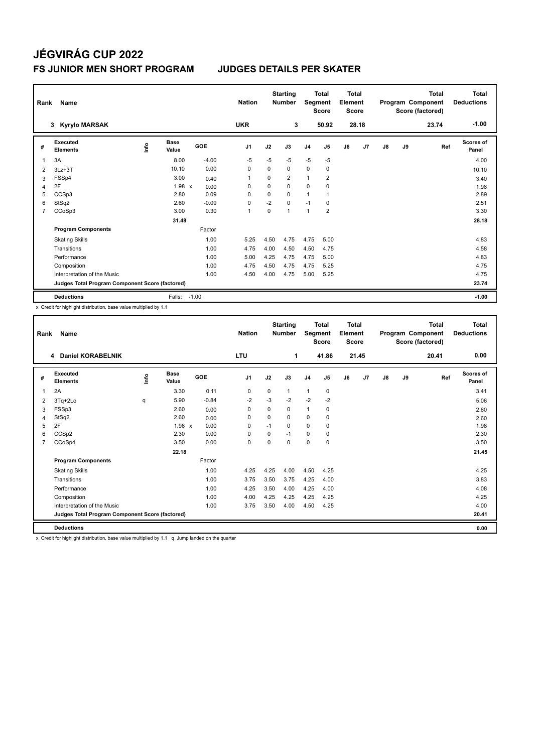# **JÉGVIRÁG CUP 2022 FS JUNIOR MEN SHORT PROGRAM JUDGES DETAILS PER SKATER**

| Rank | Name                                            |      |                      |            | <b>Nation</b>  |             | <b>Starting</b><br><b>Number</b> | Segment        | <b>Total</b><br><b>Score</b> | <b>Total</b><br>Element<br><b>Score</b> |                |               |    | Total<br>Program Component<br>Score (factored) | <b>Total</b><br><b>Deductions</b> |
|------|-------------------------------------------------|------|----------------------|------------|----------------|-------------|----------------------------------|----------------|------------------------------|-----------------------------------------|----------------|---------------|----|------------------------------------------------|-----------------------------------|
|      | <b>Kyrylo MARSAK</b><br>3                       |      |                      |            | <b>UKR</b>     |             | 3                                |                | 50.92                        |                                         | 28.18          |               |    | 23.74                                          | $-1.00$                           |
| #    | Executed<br><b>Elements</b>                     | ١nf٥ | <b>Base</b><br>Value | <b>GOE</b> | J <sub>1</sub> | J2          | J3                               | J <sub>4</sub> | J5                           | J6                                      | J <sub>7</sub> | $\mathsf{J}8$ | J9 | Ref                                            | Scores of<br>Panel                |
| 1    | 3A                                              |      | 8.00                 | $-4.00$    | $-5$           | $-5$        | $-5$                             | $-5$           | $-5$                         |                                         |                |               |    |                                                | 4.00                              |
| 2    | $3Lz + 3T$                                      |      | 10.10                | 0.00       | $\Omega$       | $\Omega$    | $\Omega$                         | 0              | $\mathbf 0$                  |                                         |                |               |    |                                                | 10.10                             |
| 3    | FSSp4                                           |      | 3.00                 | 0.40       | -1             | $\Omega$    | $\overline{2}$                   | 1              | $\overline{2}$               |                                         |                |               |    |                                                | 3.40                              |
| 4    | 2F                                              |      | 1.98 x               | 0.00       | $\Omega$       | $\Omega$    | $\Omega$                         | $\Omega$       | $\Omega$                     |                                         |                |               |    |                                                | 1.98                              |
| 5    | CCSp3                                           |      | 2.80                 | 0.09       | 0              | $\mathbf 0$ | $\Omega$                         | $\mathbf{1}$   |                              |                                         |                |               |    |                                                | 2.89                              |
| 6    | StSq2                                           |      | 2.60                 | $-0.09$    | 0              | $-2$        | $\mathbf 0$                      | $-1$           | 0                            |                                         |                |               |    |                                                | 2.51                              |
| 7    | CCoSp3                                          |      | 3.00                 | 0.30       | $\overline{1}$ | $\mathbf 0$ | $\mathbf{1}$                     | $\mathbf{1}$   | $\overline{2}$               |                                         |                |               |    |                                                | 3.30                              |
|      |                                                 |      | 31.48                |            |                |             |                                  |                |                              |                                         |                |               |    |                                                | 28.18                             |
|      | <b>Program Components</b>                       |      |                      | Factor     |                |             |                                  |                |                              |                                         |                |               |    |                                                |                                   |
|      | <b>Skating Skills</b>                           |      |                      | 1.00       | 5.25           | 4.50        | 4.75                             | 4.75           | 5.00                         |                                         |                |               |    |                                                | 4.83                              |
|      | Transitions                                     |      |                      | 1.00       | 4.75           | 4.00        | 4.50                             | 4.50           | 4.75                         |                                         |                |               |    |                                                | 4.58                              |
|      | Performance                                     |      |                      | 1.00       | 5.00           | 4.25        | 4.75                             | 4.75           | 5.00                         |                                         |                |               |    |                                                | 4.83                              |
|      | Composition                                     |      |                      | 1.00       | 4.75           | 4.50        | 4.75                             | 4.75           | 5.25                         |                                         |                |               |    |                                                | 4.75                              |
|      | Interpretation of the Music                     |      |                      | 1.00       | 4.50           | 4.00        | 4.75                             | 5.00           | 5.25                         |                                         |                |               |    |                                                | 4.75                              |
|      | Judges Total Program Component Score (factored) |      |                      |            |                |             |                                  |                |                              |                                         |                |               |    |                                                | 23.74                             |
|      | <b>Deductions</b>                               |      | Falls:               | $-1.00$    |                |             |                                  |                |                              |                                         |                |               |    |                                                | $-1.00$                           |

x Credit for highlight distribution, base value multiplied by 1.1

| Rank           | Name                                            |      |                      |            | <b>Nation</b>  |          | <b>Starting</b><br><b>Number</b> |                | <b>Total</b><br>Segment<br><b>Score</b> |    | <b>Total</b><br>Element<br><b>Score</b> |               |    | <b>Total</b><br>Program Component<br>Score (factored) | Total<br><b>Deductions</b> |
|----------------|-------------------------------------------------|------|----------------------|------------|----------------|----------|----------------------------------|----------------|-----------------------------------------|----|-----------------------------------------|---------------|----|-------------------------------------------------------|----------------------------|
|                | <b>Daniel KORABELNIK</b><br>4                   |      |                      |            | <b>LTU</b>     |          | 1                                |                | 41.86                                   |    | 21.45                                   |               |    | 20.41                                                 | 0.00                       |
| #              | <b>Executed</b><br><b>Elements</b>              | info | <b>Base</b><br>Value | <b>GOE</b> | J <sub>1</sub> | J2       | J3                               | J <sub>4</sub> | J5                                      | J6 | J7                                      | $\mathsf{J}8$ | J9 | Ref                                                   | <b>Scores of</b><br>Panel  |
| 1              | 2A                                              |      | 3.30                 | 0.11       | 0              | 0        | $\mathbf{1}$                     | $\mathbf{1}$   | $\mathbf 0$                             |    |                                         |               |    |                                                       | 3.41                       |
| 2              | 3Tq+2Lo                                         | q    | 5.90                 | $-0.84$    | $-2$           | $-3$     | $-2$                             | $-2$           | $-2$                                    |    |                                         |               |    |                                                       | 5.06                       |
| 3              | FSSp3                                           |      | 2.60                 | 0.00       | $\Omega$       | $\Omega$ | 0                                | $\mathbf{1}$   | 0                                       |    |                                         |               |    |                                                       | 2.60                       |
| 4              | StSq2                                           |      | 2.60                 | 0.00       | 0              | 0        | 0                                | $\mathbf 0$    | 0                                       |    |                                         |               |    |                                                       | 2.60                       |
| 5              | 2F                                              |      | $1.98 \times$        | 0.00       | $\Omega$       | $-1$     | $\Omega$                         | $\Omega$       | $\Omega$                                |    |                                         |               |    |                                                       | 1.98                       |
| 6              | CCS <sub>p2</sub>                               |      | 2.30                 | 0.00       | 0              | 0        | $-1$                             | $\mathbf 0$    | 0                                       |    |                                         |               |    |                                                       | 2.30                       |
| $\overline{7}$ | CCoSp4                                          |      | 3.50                 | 0.00       | 0              | $\Omega$ | $\Omega$                         | $\mathbf 0$    | 0                                       |    |                                         |               |    |                                                       | 3.50                       |
|                |                                                 |      | 22.18                |            |                |          |                                  |                |                                         |    |                                         |               |    |                                                       | 21.45                      |
|                | <b>Program Components</b>                       |      |                      | Factor     |                |          |                                  |                |                                         |    |                                         |               |    |                                                       |                            |
|                | <b>Skating Skills</b>                           |      |                      | 1.00       | 4.25           | 4.25     | 4.00                             | 4.50           | 4.25                                    |    |                                         |               |    |                                                       | 4.25                       |
|                | Transitions                                     |      |                      | 1.00       | 3.75           | 3.50     | 3.75                             | 4.25           | 4.00                                    |    |                                         |               |    |                                                       | 3.83                       |
|                | Performance                                     |      |                      | 1.00       | 4.25           | 3.50     | 4.00                             | 4.25           | 4.00                                    |    |                                         |               |    |                                                       | 4.08                       |
|                | Composition                                     |      |                      | 1.00       | 4.00           | 4.25     | 4.25                             | 4.25           | 4.25                                    |    |                                         |               |    |                                                       | 4.25                       |
|                | Interpretation of the Music                     |      |                      | 1.00       | 3.75           | 3.50     | 4.00                             | 4.50           | 4.25                                    |    |                                         |               |    |                                                       | 4.00                       |
|                | Judges Total Program Component Score (factored) |      |                      |            |                |          |                                  |                |                                         |    |                                         |               |    |                                                       | 20.41                      |
|                | <b>Deductions</b>                               |      |                      |            |                |          |                                  |                |                                         |    |                                         |               |    |                                                       | 0.00                       |
|                |                                                 | .    | $\sim$ $\sim$        | .          |                |          |                                  |                |                                         |    |                                         |               |    |                                                       |                            |

x Credit for highlight distribution, base value multiplied by 1.1 q Jump landed on the quarter